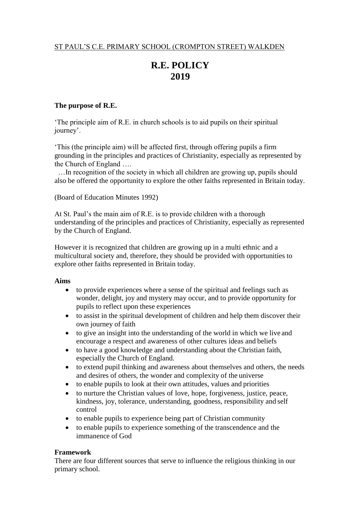# **R.E. POLICY 2019**

# **The purpose of R.E.**

'The principle aim of R.E. in church schools is to aid pupils on their spiritual journey'.

'This (the principle aim) will be affected first, through offering pupils a firm grounding in the principles and practices of Christianity, especially as represented by the Church of England ….

…In recognition of the society in which all children are growing up, pupils should also be offered the opportunity to explore the other faiths represented in Britain today.

(Board of Education Minutes 1992)

At St. Paul's the main aim of R.E. is to provide children with a thorough understanding of the principles and practices of Christianity, especially as represented by the Church of England.

However it is recognized that children are growing up in a multi ethnic and a multicultural society and, therefore, they should be provided with opportunities to explore other faiths represented in Britain today.

#### **Aims**

- to provide experiences where a sense of the spiritual and feelings such as wonder, delight, joy and mystery may occur, and to provide opportunity for pupils to reflect upon these experiences
- to assist in the spiritual development of children and help them discover their own journey of faith
- to give an insight into the understanding of the world in which we live and encourage a respect and awareness of other cultures ideas and beliefs
- to have a good knowledge and understanding about the Christian faith, especially the Church of England.
- to extend pupil thinking and awareness about themselves and others, the needs and desires of others, the wonder and complexity of the universe
- to enable pupils to look at their own attitudes, values and priorities
- to nurture the Christian values of love, hope, forgiveness, justice, peace, kindness, joy, tolerance, understanding, goodness, responsibility and self control
- to enable pupils to experience being part of Christian community
- to enable pupils to experience something of the transcendence and the immanence of God

# **Framework**

There are four different sources that serve to influence the religious thinking in our primary school.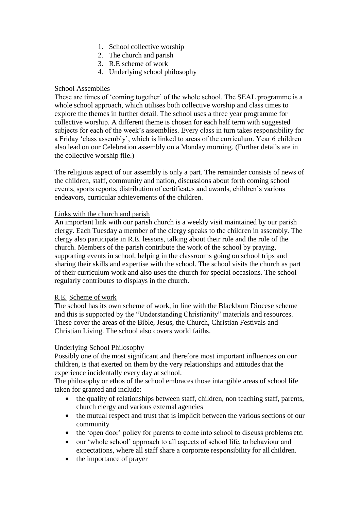- 1. School collective worship
- 2. The church and parish
- 3. R.E scheme of work
- 4. Underlying school philosophy

# School Assemblies

These are times of 'coming together' of the whole school. The SEAL programme is a whole school approach, which utilises both collective worship and class times to explore the themes in further detail. The school uses a three year programme for collective worship. A different theme is chosen for each half term with suggested subjects for each of the week's assemblies. Every class in turn takes responsibility for a Friday 'class assembly', which is linked to areas of the curriculum. Year 6 children also lead on our Celebration assembly on a Monday morning. (Further details are in the collective worship file.)

The religious aspect of our assembly is only a part. The remainder consists of news of the children, staff, community and nation, discussions about forth coming school events, sports reports, distribution of certificates and awards, children's various endeavors, curricular achievements of the children.

# Links with the church and parish

An important link with our parish church is a weekly visit maintained by our parish clergy. Each Tuesday a member of the clergy speaks to the children in assembly. The clergy also participate in R.E. lessons, talking about their role and the role of the church. Members of the parish contribute the work of the school by praying, supporting events in school, helping in the classrooms going on school trips and sharing their skills and expertise with the school. The school visits the church as part of their curriculum work and also uses the church for special occasions. The school regularly contributes to displays in the church.

# R.E. Scheme of work

The school has its own scheme of work, in line with the Blackburn Diocese scheme and this is supported by the "Understanding Christianity" materials and resources. These cover the areas of the Bible, Jesus, the Church, Christian Festivals and Christian Living. The school also covers world faiths.

# Underlying School Philosophy

Possibly one of the most significant and therefore most important influences on our children, is that exerted on them by the very relationships and attitudes that the experience incidentally every day at school.

The philosophy or ethos of the school embraces those intangible areas of school life taken for granted and include:

- the quality of relationships between staff, children, non teaching staff, parents, church clergy and various external agencies
- the mutual respect and trust that is implicit between the various sections of our community
- the 'open door' policy for parents to come into school to discuss problems etc.
- our 'whole school' approach to all aspects of school life, to behaviour and expectations, where all staff share a corporate responsibility for all children.
- the importance of prayer